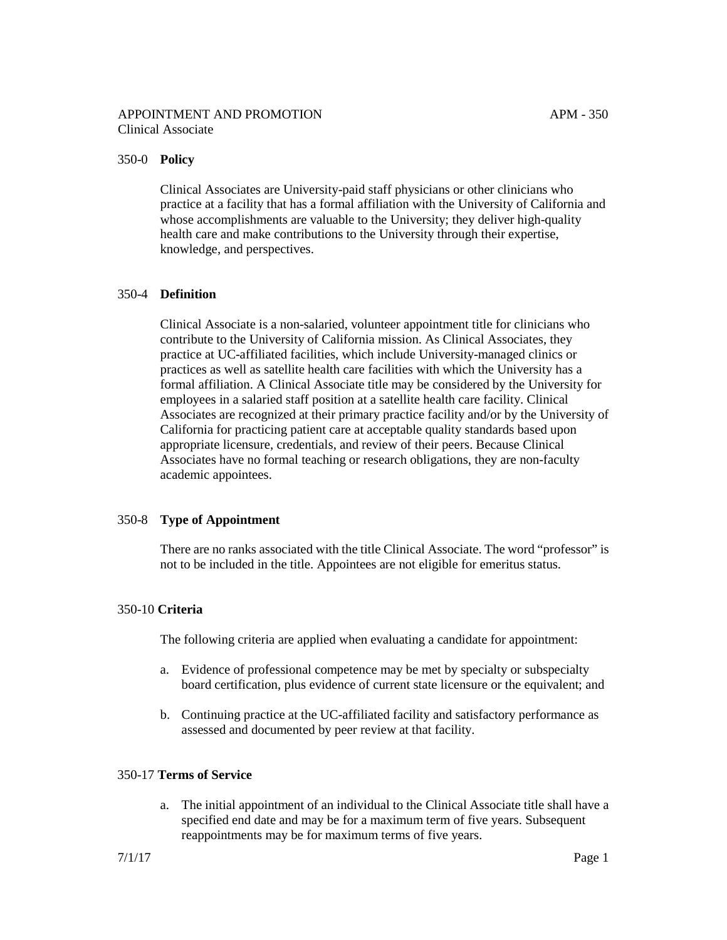# 350-0 **Policy**

Clinical Associates are University-paid staff physicians or other clinicians who practice at a facility that has a formal affiliation with the University of California and whose accomplishments are valuable to the University; they deliver high-quality health care and make contributions to the University through their expertise, knowledge, and perspectives.

# 350-4 **Definition**

Clinical Associate is a non-salaried, volunteer appointment title for clinicians who contribute to the University of California mission. As Clinical Associates, they practice at UC-affiliated facilities, which include University-managed clinics or practices as well as satellite health care facilities with which the University has a formal affiliation. A Clinical Associate title may be considered by the University for employees in a salaried staff position at a satellite health care facility. Clinical Associates are recognized at their primary practice facility and/or by the University of California for practicing patient care at acceptable quality standards based upon appropriate licensure, credentials, and review of their peers. Because Clinical Associates have no formal teaching or research obligations, they are non-faculty academic appointees.

# 350-8 **Type of Appointment**

There are no ranks associated with the title Clinical Associate. The word "professor" is not to be included in the title. Appointees are not eligible for emeritus status.

# 350-10 **Criteria**

The following criteria are applied when evaluating a candidate for appointment:

- a. Evidence of professional competence may be met by specialty or subspecialty board certification, plus evidence of current state licensure or the equivalent; and
- b. Continuing practice at the UC-affiliated facility and satisfactory performance as assessed and documented by peer review at that facility.

## 350-17 **Terms of Service**

a. The initial appointment of an individual to the Clinical Associate title shall have a specified end date and may be for a maximum term of five years. Subsequent reappointments may be for maximum terms of five years.